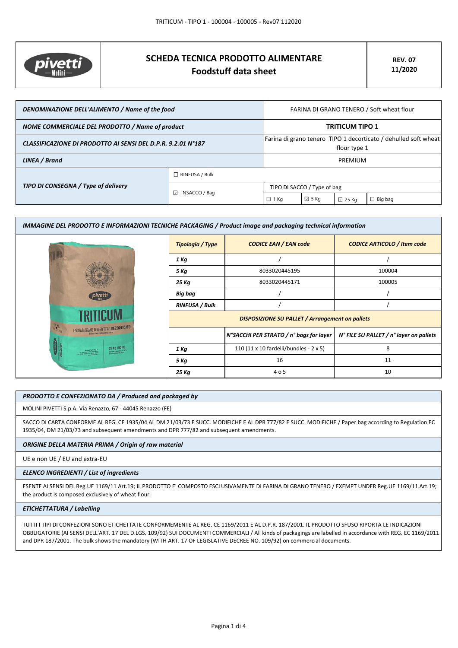

# **SCHEDA TECNICA PRODOTTO ALIMENTARE Foodstuff data sheet**

| DENOMINAZIONE DELL'ALIMENTO / Name of the food               |                         | FARINA DI GRANO TENERO / Soft wheat flour                                       |                |                 |                |
|--------------------------------------------------------------|-------------------------|---------------------------------------------------------------------------------|----------------|-----------------|----------------|
| NOME COMMERCIALE DEL PRODOTTO / Name of product              |                         | <b>TRITICUM TIPO 1</b>                                                          |                |                 |                |
| CLASSIFICAZIONE DI PRODOTTO AI SENSI DEL D.P.R. 9.2.01 N°187 |                         | Farina di grano tenero TIPO 1 decorticato / dehulled soft wheat<br>flour type 1 |                |                 |                |
| LINEA / Brand                                                |                         | PREMIUM                                                                         |                |                 |                |
|                                                              | $\Box$ RINFUSA / Bulk   |                                                                                 |                |                 |                |
| TIPO DI CONSEGNA / Type of delivery                          | $\boxdot$ INSACCO / Bag | TIPO DI SACCO / Type of bag                                                     |                |                 |                |
|                                                              |                         | $\Box$ 1 Kg                                                                     | $\boxdot$ 5 Kg | $\boxdot$ 25 Kg | $\Box$ Big bag |

| IMMAGINE DEL PRODOTTO E INFORMAZIONI TECNICHE PACKAGING / Product image and packaging technical information |                                                        |                                                |                                         |
|-------------------------------------------------------------------------------------------------------------|--------------------------------------------------------|------------------------------------------------|-----------------------------------------|
|                                                                                                             | Tipologia / Type                                       | <b>CODICE EAN / EAN code</b>                   | <b>CODICE ARTICOLO / Item code</b>      |
|                                                                                                             | 1 Kg                                                   |                                                |                                         |
|                                                                                                             | 5 Kg                                                   | 8033020445195                                  | 100004                                  |
|                                                                                                             | 25 Kg                                                  | 8033020445171                                  | 100005                                  |
| pivetti                                                                                                     | Big bag                                                |                                                |                                         |
|                                                                                                             | <b>RINFUSA / Bulk</b>                                  |                                                |                                         |
|                                                                                                             | <b>DISPOSIZIONE SU PALLET / Arrangement on pallets</b> |                                                |                                         |
| FARINA DI GRANO TENERO TIPO 1 DECORTICATU                                                                   |                                                        | N°SACCHI PER STRATO / n° bags for layer        | N° FILE SU PALLET / n° layer on pallets |
| 25 kg (55lb)<br>Midled Power S.o.A<br><b>OURSES PURSUING TO ANY</b>                                         | 1 Kg                                                   | 110 (11 x 10 fardelli/bundles - $2 \times 5$ ) | 8                                       |
|                                                                                                             | 5 Kg                                                   | 16                                             | 11                                      |
|                                                                                                             | 25 Kg                                                  | 4 o 5                                          | 10                                      |

## *PRODOTTO E CONFEZIONATO DA / Produced and packaged by*

MOLINI PIVETTI S.p.A. Via Renazzo, 67 - 44045 Renazzo (FE)

SACCO DI CARTA CONFORME AL REG. CE 1935/04 AL DM 21/03/73 E SUCC. MODIFICHE E AL DPR 777/82 E SUCC. MODIFICHE / Paper bag according to Regulation EC 1935/04, DM 21/03/73 and subsequent amendments and DPR 777/82 and subsequent amendments.

## *ORIGINE DELLA MATERIA PRIMA / Origin of raw material*

UE e non UE / EU and extra-EU

#### *ELENCO INGREDIENTI / List of ingredients*

ESENTE AI SENSI DEL Reg.UE 1169/11 Art.19; IL PRODOTTO E' COMPOSTO ESCLUSIVAMENTE DI FARINA DI GRANO TENERO / EXEMPT UNDER Reg.UE 1169/11 Art.19; the product is composed exclusively of wheat flour.

## *ETICHETTATURA / Labelling*

TUTTI I TIPI DI CONFEZIONI SONO ETICHETTATE CONFORMEMENTE AL REG. CE 1169/2011 E AL D.P.R. 187/2001. IL PRODOTTO SFUSO RIPORTA LE INDICAZIONI OBBLIGATORIE (AI SENSI DELL'ART. 17 DEL D.LGS. 109/92) SUI DOCUMENTI COMMERCIALI / All kinds of packagings are labelled in accordance with REG. EC 1169/2011 and DPR 187/2001. The bulk shows the mandatory (WITH ART. 17 OF LEGISLATIVE DECREE NO. 109/92) on commercial documents.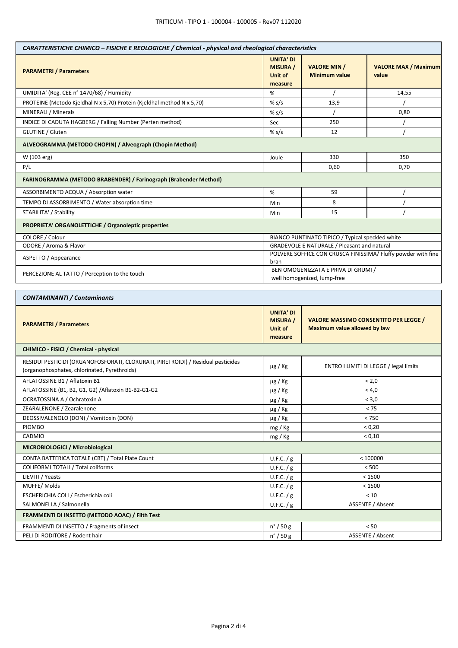| CARATTERISTICHE CHIMICO - FISICHE E REOLOGICHE / Chemical - physical and rheological characteristics |                                                           |                                                                              |                                        |  |
|------------------------------------------------------------------------------------------------------|-----------------------------------------------------------|------------------------------------------------------------------------------|----------------------------------------|--|
| <b>PARAMETRI / Parameters</b>                                                                        | <b>UNITA' DI</b><br><b>MISURA</b> /<br>Unit of<br>measure | <b>VALORE MIN /</b><br><b>Minimum value</b>                                  | <b>VALORE MAX / Maximum</b><br>value   |  |
| UMIDITA' (Reg. CEE n° 1470/68) / Humidity                                                            | %                                                         |                                                                              | 14,55                                  |  |
| PROTEINE (Metodo Kjeldhal N x 5,70) Protein (Kjeldhal method N x 5,70)                               | % $s/s$                                                   | 13,9                                                                         |                                        |  |
| MINERALI / Minerals                                                                                  | % $s/s$                                                   |                                                                              | 0,80                                   |  |
| INDICE DI CADUTA HAGBERG / Falling Number (Perten method)                                            | Sec                                                       | 250                                                                          |                                        |  |
| GLUTINE / Gluten                                                                                     | % $s/s$                                                   | 12                                                                           |                                        |  |
| ALVEOGRAMMA (METODO CHOPIN) / Alveograph (Chopin Method)                                             |                                                           |                                                                              |                                        |  |
| W (103 erg)                                                                                          | Joule                                                     | 330                                                                          | 350                                    |  |
| P/L                                                                                                  |                                                           | 0,60                                                                         | 0,70                                   |  |
| FARINOGRAMMA (METODO BRABENDER) / Farinograph (Brabender Method)                                     |                                                           |                                                                              |                                        |  |
| ASSORBIMENTO ACQUA / Absorption water                                                                | $\%$                                                      | 59                                                                           |                                        |  |
| TEMPO DI ASSORBIMENTO / Water absorption time                                                        | Min                                                       | 8                                                                            |                                        |  |
| STABILITA' / Stability                                                                               | Min                                                       | 15                                                                           |                                        |  |
| PROPRIETA' ORGANOLETTICHE / Organoleptic properties                                                  |                                                           |                                                                              |                                        |  |
| COLORE / Colour                                                                                      |                                                           | BIANCO PUNTINATO TIPICO / Typical speckled white                             |                                        |  |
| ODORE / Aroma & Flavor                                                                               |                                                           | GRADEVOLE E NATURALE / Pleasant and natural                                  |                                        |  |
| ASPETTO / Appearance                                                                                 | bran                                                      | POLVERE SOFFICE CON CRUSCA FINISSIMA/ Fluffy powder with fine                |                                        |  |
| PERCEZIONE AL TATTO / Perception to the touch                                                        |                                                           | BEN OMOGENIZZATA E PRIVA DI GRUMI /<br>well homogenized, lump-free           |                                        |  |
| <b>CONTAMINANTI / Contaminants</b>                                                                   |                                                           |                                                                              |                                        |  |
| <b>PARAMETRI / Parameters</b>                                                                        | <b>UNITA' DI</b><br><b>MISURA</b> /<br>Unit of<br>measure | <b>VALORE MASSIMO CONSENTITO PER LEGGE /</b><br>Maximum value allowed by law |                                        |  |
| CHIMICO - FISICI / Chemical - physical                                                               |                                                           |                                                                              |                                        |  |
| RESIDUI PESTICIDI (ORGANOFOSFORATI, CLORURATI, PIRETROIDI) / Residual pesticides                     |                                                           |                                                                              |                                        |  |
| (organophosphates, chlorinated, Pyrethroids)                                                         | $\mu$ g / Kg                                              |                                                                              | ENTRO I LIMITI DI LEGGE / legal limits |  |
| AFLATOSSINE B1 / Aflatoxin B1                                                                        |                                                           |                                                                              | < 2,0                                  |  |
| AFLATOSSINE (B1, B2, G1, G2) / Aflatoxin B1-B2-G1-G2                                                 | µg / Kg<br>µg / Kg                                        |                                                                              | < 4,0                                  |  |
| OCRATOSSINA A / Ochratoxin A                                                                         | µg / Kg                                                   |                                                                              | < 3,0                                  |  |
| ZEARALENONE / Zearalenone                                                                            | µg / Kg                                                   |                                                                              | < 75                                   |  |
| DEOSSIVALENOLO (DON) / Vomitoxin (DON)                                                               | $\mu$ g / Kg                                              |                                                                              | < 750                                  |  |
| PIOMBO                                                                                               | mg / Kg                                                   |                                                                              | < 0,20                                 |  |
| CADMIO                                                                                               | mg / Kg                                                   |                                                                              | < 0,10                                 |  |
| MICROBIOLOGICI / Microbiological                                                                     |                                                           |                                                                              |                                        |  |
| CONTA BATTERICA TOTALE (CBT) / Total Plate Count                                                     | U.F.C. $/g$                                               |                                                                              | < 100000                               |  |
| COLIFORMI TOTALI / Total coliforms                                                                   | U.F.C. / g                                                |                                                                              | < 500                                  |  |
| LIEVITI / Yeasts                                                                                     | U.F.C. / g                                                |                                                                              | < 1500                                 |  |
| MUFFE/Molds                                                                                          | U.F.C. / g                                                |                                                                              | < 1500                                 |  |
| ESCHERICHIA COLI / Escherichia coli                                                                  | U.F.C. / g                                                |                                                                              | < 10                                   |  |
| SALMONELLA / Salmonella                                                                              | U.F.C. / g                                                |                                                                              | ASSENTE / Absent                       |  |
| FRAMMENTI DI INSETTO (METODO AOAC) / Filth Test                                                      |                                                           |                                                                              |                                        |  |
| FRAMMENTI DI INSETTO / Fragments of insect<br>PELI DI RODITORE / Rodent hair                         | $n^{\circ}$ / 50 g<br>$n^{\circ}$ / 50 g                  |                                                                              | < 50<br>ASSENTE / Absent               |  |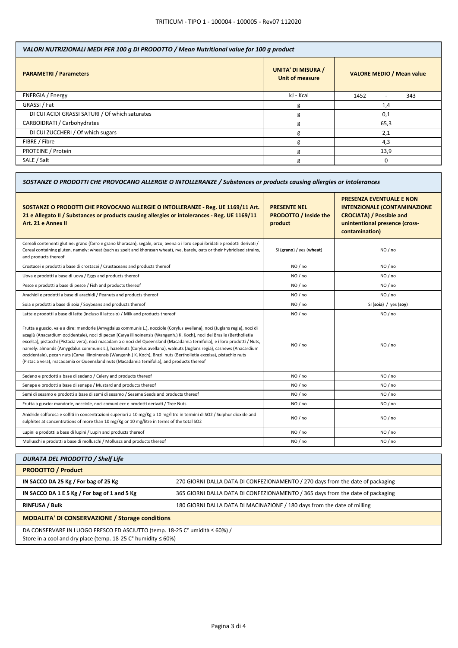| VALORI NUTRIZIONALI MEDI PER 100 g DI PRODOTTO / Mean Nutritional value for 100 g product |                                              |                                         |  |
|-------------------------------------------------------------------------------------------|----------------------------------------------|-----------------------------------------|--|
| <b>PARAMETRI / Parameters</b>                                                             | <b>UNITA' DI MISURA /</b><br>Unit of measure | <b>VALORE MEDIO / Mean value</b>        |  |
| ENERGIA / Energy                                                                          | kJ - Kcal                                    | 1452<br>343<br>$\overline{\phantom{a}}$ |  |
| GRASSI / Fat                                                                              | g                                            | 1,4                                     |  |
| DI CUI ACIDI GRASSI SATURI / Of which saturates                                           | g                                            | 0,1                                     |  |
| CARBOIDRATI / Carbohydrates                                                               | g                                            | 65,3                                    |  |
| DI CUI ZUCCHERI / Of which sugars                                                         | g                                            | 2,1                                     |  |
| FIBRE / Fibre                                                                             | g                                            | 4,3                                     |  |
| PROTEINE / Protein                                                                        | g                                            | 13,9                                    |  |
| SALE / Salt                                                                               | g                                            | 0                                       |  |

| SOSTANZE O PRODOTTI CHE PROVOCANO ALLERGIE O INTOLLERANZE / Substances or products causing allergies or intolerances                                                                                                                                                                                                                                                                                                                                                                                                                                                                                                                                                                                                               |                                                                |                                                                                                                                                               |  |
|------------------------------------------------------------------------------------------------------------------------------------------------------------------------------------------------------------------------------------------------------------------------------------------------------------------------------------------------------------------------------------------------------------------------------------------------------------------------------------------------------------------------------------------------------------------------------------------------------------------------------------------------------------------------------------------------------------------------------------|----------------------------------------------------------------|---------------------------------------------------------------------------------------------------------------------------------------------------------------|--|
| SOSTANZE O PRODOTTI CHE PROVOCANO ALLERGIE O INTOLLERANZE - Reg. UE 1169/11 Art.<br>21 e Allegato II / Substances or products causing allergies or intolerances - Reg. UE 1169/11<br>Art. 21 e Annex II                                                                                                                                                                                                                                                                                                                                                                                                                                                                                                                            | <b>PRESENTE NEL</b><br><b>PRODOTTO / Inside the</b><br>product | <b>PRESENZA EVENTUALE E NON</b><br><b>INTENZIONALE (CONTAMINAZIONE</b><br><b>CROCIATA) / Possible and</b><br>unintentional presence (cross-<br>contamination) |  |
| Cereali contenenti glutine: grano (farro e grano khorasan), segale, orzo, avena o i loro ceppi ibridati e prodotti derivati /<br>Cereal containing gluten, namely: wheat (such as spelt and khorasan wheat), rye, barely, oats or their hybridised strains,<br>and products thereof                                                                                                                                                                                                                                                                                                                                                                                                                                                | SI (grano) / yes (wheat)                                       | NO / no                                                                                                                                                       |  |
| Crostacei e prodotti a base di crostacei / Crustaceans and products thereof                                                                                                                                                                                                                                                                                                                                                                                                                                                                                                                                                                                                                                                        | NO / no                                                        | NO / no                                                                                                                                                       |  |
| Uova e prodotti a base di uova / Eggs and products thereof                                                                                                                                                                                                                                                                                                                                                                                                                                                                                                                                                                                                                                                                         | NO / no                                                        | NO / no                                                                                                                                                       |  |
| Pesce e prodotti a base di pesce / Fish and products thereof                                                                                                                                                                                                                                                                                                                                                                                                                                                                                                                                                                                                                                                                       | NO / no                                                        | NO / no                                                                                                                                                       |  |
| Arachidi e prodotti a base di arachidi / Peanuts and products thereof                                                                                                                                                                                                                                                                                                                                                                                                                                                                                                                                                                                                                                                              | NO / no                                                        | NO / no                                                                                                                                                       |  |
| Soia e prodotti a base di soia / Soybeans and products thereof                                                                                                                                                                                                                                                                                                                                                                                                                                                                                                                                                                                                                                                                     | NO/no                                                          | SI (soia) / yes (soy)                                                                                                                                         |  |
| Latte e prodotti a base di latte (incluso il lattosio) / Milk and products thereof                                                                                                                                                                                                                                                                                                                                                                                                                                                                                                                                                                                                                                                 | NO / no                                                        | NO / no                                                                                                                                                       |  |
| Frutta a guscio, vale a dire: mandorle (Amygdalus communis L.), nocciole (Corylus avellana), noci (Juglans regia), noci di<br>acagiù (Anacardium occidentale), noci di pecan [Carya illinoinensis (Wangenh.) K. Koch], noci del Brasile (Bertholletia<br>excelsa), pistacchi (Pistacia vera), noci macadamia o noci del Queensland (Macadamia ternifolia), e i loro prodotti / Nuts,<br>namely: almonds (Amygdalus communis L.), hazelnuts (Corylus avellana), walnuts (Juglans regia), cashews (Anacardium<br>occidentale), pecan nuts (Carya illinoinensis (Wangenh.) K. Koch), Brazil nuts (Bertholletia excelsa), pistachio nuts<br>(Pistacia vera), macadamia or Queensland nuts (Macadamia ternifolia), and products thereof | NO/no                                                          | NO / no                                                                                                                                                       |  |
| Sedano e prodotti a base di sedano / Celery and products thereof                                                                                                                                                                                                                                                                                                                                                                                                                                                                                                                                                                                                                                                                   | NO / no                                                        | NO / no                                                                                                                                                       |  |
| Senape e prodotti a base di senape / Mustard and products thereof                                                                                                                                                                                                                                                                                                                                                                                                                                                                                                                                                                                                                                                                  | NO / no                                                        | NO / no                                                                                                                                                       |  |
| Semi di sesamo e prodotti a base di semi di sesamo / Sesame Seeds and products thereof                                                                                                                                                                                                                                                                                                                                                                                                                                                                                                                                                                                                                                             | NO / no                                                        | NO / no                                                                                                                                                       |  |
| Frutta a guscio: mandorle, nocciole, noci comuni ecc e prodotti derivati / Tree Nuts                                                                                                                                                                                                                                                                                                                                                                                                                                                                                                                                                                                                                                               | NO / no                                                        | NO / no                                                                                                                                                       |  |
| Anidride solforosa e solfiti in concentrazioni superiori a 10 mg/Kg o 10 mg/litro in termini di SO2 / Sulphur dioxide and<br>sulphites at concentrations of more than 10 mg/Kg or 10 mg/litre in terms of the total SO2                                                                                                                                                                                                                                                                                                                                                                                                                                                                                                            | NO / no                                                        | NO / no                                                                                                                                                       |  |
| Lupini e prodotti a base di lupini / Lupin and products thereof                                                                                                                                                                                                                                                                                                                                                                                                                                                                                                                                                                                                                                                                    | NO / no                                                        | NO / no                                                                                                                                                       |  |
| Molluschi e prodotti a base di molluschi / Molluscs and products thereof                                                                                                                                                                                                                                                                                                                                                                                                                                                                                                                                                                                                                                                           | NO / no                                                        | NO / no                                                                                                                                                       |  |
|                                                                                                                                                                                                                                                                                                                                                                                                                                                                                                                                                                                                                                                                                                                                    |                                                                |                                                                                                                                                               |  |

| <b>DURATA DEL PRODOTTO / Shelf Life</b>                                                                                                                     |                                                                                |  |
|-------------------------------------------------------------------------------------------------------------------------------------------------------------|--------------------------------------------------------------------------------|--|
| <b>PRODOTTO / Product</b>                                                                                                                                   |                                                                                |  |
| IN SACCO DA 25 Kg / For bag of 25 Kg                                                                                                                        | 270 GIORNI DALLA DATA DI CONFEZIONAMENTO / 270 days from the date of packaging |  |
| IN SACCO DA 1 E 5 Kg / For bag of 1 and 5 Kg                                                                                                                | 365 GIORNI DALLA DATA DI CONFEZIONAMENTO / 365 days from the date of packaging |  |
| <b>RINFUSA / Bulk</b>                                                                                                                                       | 180 GIORNI DALLA DATA DI MACINAZIONE / 180 days from the date of milling       |  |
| <b>MODALITA' DI CONSERVAZIONE / Storage conditions</b>                                                                                                      |                                                                                |  |
| DA CONSERVARE IN LUOGO FRESCO ED ASCIUTTO (temp. 18-25 C° umidità ≤ 60%) /<br>Store in a cool and dry place (temp. 18-25 $C^{\circ}$ humidity $\leq 60\%$ ) |                                                                                |  |